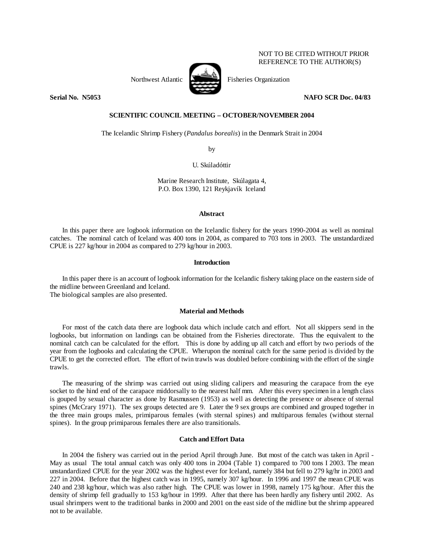## NOT TO BE CITED WITHOUT PRIOR REFERENCE TO THE AUTHOR(S)



Northwest Atlantic Fisheries Organization

**Serial No. N5053 NAFO SCR Doc. 04/83** 

# **SCIENTIFIC COUNCIL MEETING – OCTOBER/NOVEMBER 2004**

The Icelandic Shrimp Fishery (*Pandalus borealis*) in the Denmark Strait in 2004

by

U. Skúladóttir

Marine Research Institute, Skúlagata 4, P.O. Box 1390, 121 Reykjavík Iceland

#### **Abstract**

In this paper there are logbook information on the Icelandic fishery for the years 1990-2004 as well as nominal catches. The nominal catch of Iceland was 400 tons in 2004, as compared to 703 tons in 2003. The unstandardized CPUE is 227 kg/hour in 2004 as compared to 279 kg/hour in 2003.

## **Introduction**

In this paper there is an account of logbook information for the Icelandic fishery taking place on the eastern side of the midline between Greenland and Iceland. The biological samples are also presented.

#### **Material and Methods**

For most of the catch data there are logbook data which include catch and effort. Not all skippers send in the logbooks, but information on landings can be obtained from the Fisheries directorate. Thus the equivalent to the nominal catch can be calculated for the effort. This is done by adding up all catch and effort by two periods of the year from the logbooks and calculating the CPUE. Wherupon the nominal catch for the same period is divided by the CPUE to get the corrected effort. The effort of twin trawls was doubled before combining with the effort of the single trawls.

 The measuring of the shrimp was carried out using sliding calipers and measuring the carapace from the eye socket to the hind end of the carapace middorsally to the nearest half mm. After this every specimen in a length class is gouped by sexual character as done by Rasmussen (1953) as well as detecting the presence or absence of sternal spines (McCrary 1971). The sex groups detected are 9. Later the 9 sex groups are combined and grouped together in the three main groups males, primiparous females (with sternal spines) and multiparous females (without sternal spines). In the group primiparous females there are also transitionals.

## **Catch and Effort Data**

 In 2004 the fishery was carried out in the period April through June. But most of the catch was taken in April - May as usual The total annual catch was only 400 tons in 2004 (Table 1) compared to 700 tons I 2003. The mean unstandardized CPUE for the year 2002 was the highest ever for Iceland, namely 384 but fell to 279 kg/hr in 2003 and 227 in 2004. Before that the highest catch was in 1995, namely 307 kg/hour. In 1996 and 1997 the mean CPUE was 240 and 238 kg/hour, which was also rather high. The CPUE was lower in 1998, namely 175 kg/hour. After this the density of shrimp fell gradually to 153 kg/hour in 1999. After that there has been hardly any fishery until 2002. As usual shrimpers went to the traditional banks in 2000 and 2001 on the east side of the midline but the shrimp appeared not to be available.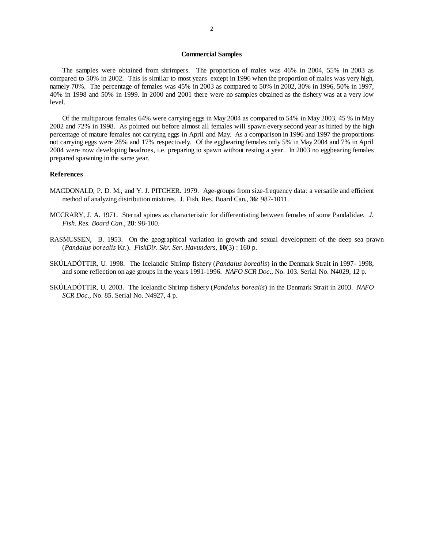#### **Commercial Samples**

The samples were obtained from shrimpers. The proportion of males was 46% in 2004, 55% in 2003 as compared to 50% in 2002. This is similar to most years except in 1996 when the proportion of males was very high, namely 70%. The percentage of females was 45% in 2003 as compared to 50% in 2002, 30% in 1996, 50% in 1997, 40% in 1998 and 50% in 1999. In 2000 and 2001 there were no samples obtained as the fishery was at a very low level.

 Of the multiparous females 64% were carrying eggs in May 2004 as compared to 54% in May 2003, 45 % in May 2002 and 72% in 1998. As pointed out before almost all females will spawn every second year as hinted by the high percentage of mature females not carrying eggs in April and May. As a comparison in 1996 and 1997 the proportions not carrying eggs were 28% and 17% respectively. Of the eggbearing females only 5% in May 2004 and 7% in April 2004 were now developing headroes, i.e. preparing to spawn without resting a year. In 2003 no eggbearing females prepared spawning in the same year.

## **References**

- MACDONALD, P. D. M., and Y. J. PITCHER. 1979. Age-groups from size-frequency data: a versatile and efficient method of analyzing distribution mixtures. J. Fish. Res. Board Can., **36**: 987-1011.
- MCCRARY, J. A. 1971. Sternal spines as characteristic for differentiating between females of some Pandalidae*. J. Fish. Res. Board Can*., **28**: 98-100.
- RASMUSSEN, B. 1953. On the geographical variation in growth and sexual development of the deep sea prawn (*Pandalus borealis* Kr.). *FiskDir. Skr. Ser. Havunders,* **10**(3) : 160 p.
- SKÚLADÓTTIR, U. 1998. The Icelandic Shrimp fishery (*Pandalus borealis*) in the Denmark Strait in 1997- 1998, and some reflection on age groups in the years 1991-1996. *NAFO SCR Doc*., No. 103. Serial No. N4029, 12 p.
- SKÚLADÓTTIR, U. 2003. The Icelandic Shrimp fishery (*Pandalus borealis*) in the Denmark Strait in 2003. *NAFO SCR Doc*., No. 85. Serial No. N4927, 4 p.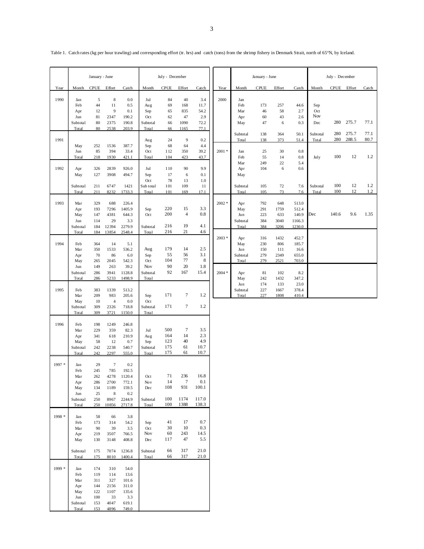|        | January - June                                              |                                                      |                                                         | July - December                                                  |                                               |                                   |                                     |                                           | January - June |                                        |                                 |                                    | July - December                             |                          |             |                |              |
|--------|-------------------------------------------------------------|------------------------------------------------------|---------------------------------------------------------|------------------------------------------------------------------|-----------------------------------------------|-----------------------------------|-------------------------------------|-------------------------------------------|----------------|----------------------------------------|---------------------------------|------------------------------------|---------------------------------------------|--------------------------|-------------|----------------|--------------|
| Year   | Month                                                       | CPUE                                                 | Effort                                                  | Catch                                                            | Month                                         | <b>CPUE</b>                       | Effort                              | Catch                                     | Year           | Month                                  | <b>CPUE</b>                     | Effort                             | Catch                                       | Month                    | <b>CPUE</b> | Effort         | Catch        |
| 1990   | Jan<br>Feb<br>Apr<br>Jun                                    | 5<br>44<br>12<br>81                                  | $\,$ 8 $\,$<br>11<br>$\overline{9}$<br>2347             | 0.0<br>0.5<br>0.1<br>190.2                                       | Jul<br>Aug<br>Sep<br>Oct                      | 84<br>69<br>65<br>62              | 40<br>168<br>835<br>47              | 3.4<br>11.7<br>54.2<br>2.9                | 2000           | Jan<br>Feb<br>Mar<br>Apr               | 173<br>46<br>60                 | 257<br>58<br>43                    | 44.6<br>2.7<br>2.6                          | Sep<br>Oct<br><b>Nov</b> |             |                |              |
|        | Subtotal<br>Total                                           | 80<br>80                                             | 2375<br>2538                                            | 190.8<br>203.9                                                   | Subtotal<br>Total                             | 66<br>66                          | 1090<br>1165                        | 72.2<br>77.1                              |                | May                                    | 47                              | 6                                  | 0.3                                         | Dec                      | 280         | 275.7          | 77.1         |
| 1991   |                                                             |                                                      |                                                         |                                                                  | Aug                                           | 24                                | $\overline{9}$                      | 0.2                                       |                | Subtotal<br>Total                      | 138<br>138                      | 364<br>373                         | 50.1<br>51.4                                | Subtotal<br>Total        | 280<br>280  | 275.7<br>288.5 | 77.1<br>80.7 |
|        | May<br>Jun<br>Total                                         | 252<br>85<br>218                                     | 1536<br>394<br>1930                                     | 387.7<br>33.4<br>421.1                                           | Sep<br>Oct<br>Total                           | 68<br>112<br>104                  | 64<br>350<br>423                    | 4.4<br>39.2<br>43.7                       | $2001 *$       | Jan<br>Feb<br>Mar                      | 25<br>55<br>249                 | 30<br>14<br>22                     | $0.8\,$<br>0.8<br>5.4                       | July                     | 100         | 12             | 1.2          |
| 1992   | Apr<br>May                                                  | 326<br>127                                           | 2839<br>3908                                            | 926.0<br>494.7                                                   | Jul<br>Sep<br>Oct                             | 110<br>17<br>78                   | 90<br>6<br>13                       | 9.9<br>0.1<br>1.0                         |                | Apr<br>May                             | 104                             | $\sqrt{6}$                         | 0.6                                         |                          |             |                |              |
|        | Subtotal<br>Total                                           | 211<br>211                                           | 6747<br>8232                                            | 1421<br>1733.3                                                   | Sub total<br>Total                            | 101<br>101                        | 109<br>169                          | 11<br>17.1                                |                | Subtotal<br>Total                      | 105<br>105                      | 72<br>73                           | 7.6<br>7.6                                  | Subtotal<br>Total        | 100<br>100  | 12<br>12       | 1.2<br>1.2   |
| 1993   | Mar<br>Apr<br>May<br>Jun<br>Subtotal                        | 329<br>193<br>147<br>114<br>184                      | 688<br>7296<br>4381<br>29<br>12394                      | 226.4<br>1405.9<br>644.3<br>3.3<br>2279.9                        | Sep<br>Oct<br>Subtotal                        | 220<br>200<br>216                 | 15<br>$\overline{\mathbf{4}}$<br>19 | 3.3<br>0.8<br>4.1                         | $2002 *$       | Apr<br>May<br>Jun<br>Subtotal<br>Total | 792<br>291<br>223<br>384<br>384 | 648<br>1759<br>633<br>3040<br>3206 | 513.0<br>512.4<br>140.9<br>1166.3<br>1230.0 | Dec                      | 140.6       | 9.6            | 1.35         |
| 1994   | Total<br>Feb<br>Mar<br>Apr                                  | 184<br>364<br>350<br>70                              | 13854<br>14<br>1533<br>86                               | 2548.4<br>5.1<br>536.2<br>6.0                                    | Total<br>Aug<br>Sep                           | 216<br>179<br>55<br>104           | 21<br>14<br>56<br>77                | 4.6<br>2.5<br>3.1<br>$\,$ 8 $\,$          | $2003 *$       | Apr<br>May<br>Jun<br>Subtotal          | 316<br>230<br>150<br>279        | 1432<br>806<br>111<br>2349         | 452.7<br>185.7<br>16.6<br>655.0             |                          |             |                |              |
|        | May<br>Jun<br>Subtotal<br>Total                             | 265<br>149<br>286<br>286                             | 2045<br>263<br>3941<br>5233                             | 542.3<br>39.2<br>1128.8<br>1498.9                                | Oct<br>Nov<br>Subtotal<br>Total               | 90<br>92                          | 20<br>167                           | 1.8<br>15.4                               | $2004 *$       | Total<br>Apr<br>May                    | 279<br>81<br>242                | 2521<br>102<br>1432                | 703.0<br>8.2<br>347.2                       |                          |             |                |              |
| 1995   | Feb<br>Mar<br>May<br>Subtotal<br>Total                      | 383<br>209<br>10<br>309<br>309                       | 1339<br>983<br>$\overline{4}$<br>2326<br>3721           | 513.2<br>205.6<br>0.0<br>718.8<br>1150.0                         | Sep<br><b>Oct</b><br>Subtotal<br>Total        | 171<br>171                        | 7<br>7                              | 1.2<br>1.2                                |                | Jun<br>Subtotal<br>Total               | 174<br>227<br>227               | 133<br>1667<br>1808                | 23.0<br>378.4<br>410.4                      |                          |             |                |              |
| 1996   | Feb<br>Mar<br>Apr<br>May<br>Subtotal<br>Total               | 198<br>229<br>341<br>58<br>242<br>242                | 1249<br>359<br>618<br>12<br>2238<br>2297                | 246.8<br>82.3<br>210.9<br>0.7<br>540.7<br>555.0                  | Jul<br>Aug<br>Sep<br>Subtotal<br>Total        | 500<br>164<br>123<br>175<br>175   | $\tau$<br>14<br>40<br>61<br>61      | 3.5<br>2.3<br>4.9<br>10.7<br>10.7         |                |                                        |                                 |                                    |                                             |                          |             |                |              |
| 1997 * | Jan<br>Feb<br>Mar<br>Apr                                    | 29<br>245<br>262<br>286                              | $\tau$<br>785<br>4278<br>2700                           | 0.2<br>192.5<br>1120.4<br>772.1                                  | Oct<br>Nov                                    | 71<br>14                          | 236<br>7                            | 16.8<br>0.1                               |                |                                        |                                 |                                    |                                             |                          |             |                |              |
|        | May<br>Jun<br>Subtotal<br>Total                             | 134<br>25<br>250<br>250                              | 1189<br>$\,$ 8 $\,$<br>8967<br>10856                    | 159.5<br>0.2<br>2244.9<br>2717.8                                 | Dec<br>Subtotal<br>Total                      | 108<br>100<br>100                 | 931<br>1174<br>1388                 | 100.1<br>117.0<br>138.3                   |                |                                        |                                 |                                    |                                             |                          |             |                |              |
| 1998 * | Jan<br>Feb<br>Mar<br>Apr<br>May<br>Subtotal<br>Total        | 58<br>173<br>90<br>219<br>130<br>175<br>175          | 66<br>314<br>39<br>3507<br>3148<br>7074<br>8010         | 3.8<br>54.2<br>3.5<br>766.5<br>408.8<br>1236.8<br>1400.4         | Sep<br>Oct<br>Nov<br>Dec<br>Subtotal<br>Total | 41<br>30<br>60<br>117<br>66<br>66 | 17<br>10<br>243<br>47<br>317<br>317 | 0.7<br>0.3<br>14.5<br>5.5<br>21.0<br>21.0 |                |                                        |                                 |                                    |                                             |                          |             |                |              |
| 1999 * | Jan<br>Feb<br>Mar<br>Apr<br>May<br>Jun<br>Subtotal<br>Total | 174<br>119<br>311<br>144<br>122<br>100<br>153<br>153 | 310<br>114<br>327<br>2156<br>1107<br>33<br>4047<br>4896 | 54.0<br>13.6<br>101.6<br>311.0<br>135.6<br>3.3<br>619.1<br>749.0 |                                               |                                   |                                     |                                           |                |                                        |                                 |                                    |                                             |                          |             |                |              |

Table 1. Catch rates (kg per hour trawling) and corresponding effort (tr. hrs) and catch (tons) from the shrimp fishery in Denmark Strait, north of 65°N, by Iceland.

۰.